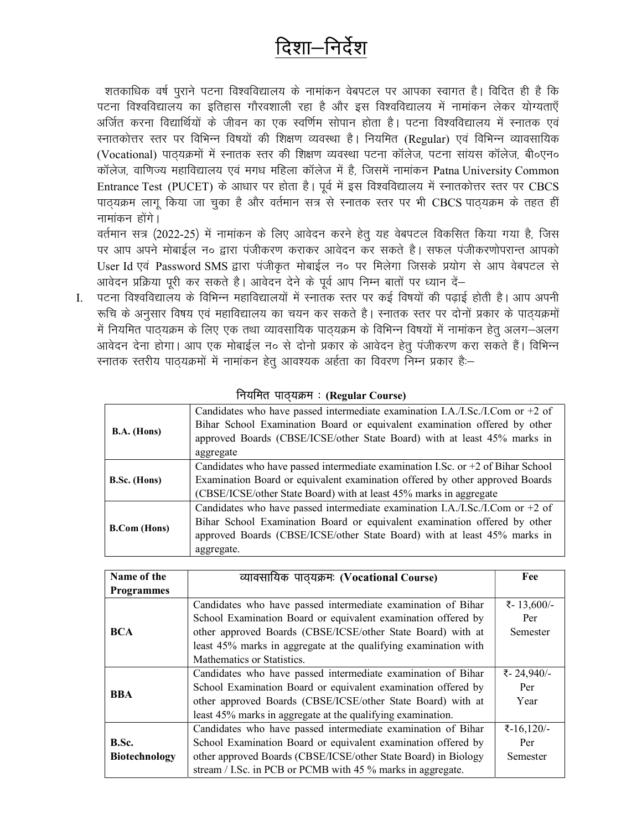## दिशा—निर्देश

शतकाधिक वर्ष पुराने पटना विश्वविद्यालय के नामांकन वेबपटल पर आपका स्वागत है। विदित ही है कि पटना विश्वविद्यालय का इतिहास गौरवशाली रहा है और इस विश्वविद्यालय में नामांकन लेकर योग्यताएँ अर्जित करना विद्यार्थियों के जीवन का एक स्वर्णिम सोपान होता है। पटना विश्वविद्यालय में स्नातक एवं स्नातकोत्तर स्तर पर विभिन्न विषयों की शिक्षण व्यवस्था है। नियमित (Regular) एवं विभिन्न व्यावसायिक (Vocational) पाठ्यक्रमों में स्नातक स्तर की शिक्षण व्यवस्था पटना कॉलेज, पटना सांयस कॉलेज, बी०एन० कॉलेज, वाणिज्य महाविद्यालय एवं मगध महिला कॉलेज में है, जिसमें नामांकन Patna University Common Entrance Test (PUCET) के आधार पर होता है। पूर्व में इस विश्वविद्यालय में स्नातकोत्तर स्तर पर CBCS पाठ्यक्रम लागू किया जा चुका है और वर्तमान सत्र से स्नातक स्तर पर भी CBCS पाठ्यक्रम के तहत हीं नामांकन होंगे।

वर्तमान सत्र (2022-25) में नामांकन के लिए आवेदन करने हेतू यह वेबपटल विकसित किया गया है, जिस पर आप अपने मोबाईल न० द्वारा पंजीकरण कराकर आवेदन कर सकते है। सफल पंजीकरणोपरान्त आपको User Id एवं Password SMS द्वारा पंजीकृत मोबाईल न० पर मिलेगा जिसके प्रयोग से आप वेबपटल से आवेदन प्रक्रिया पूरी कर सकते है। आवेदन देने के पूर्व आप निम्न बातों पर ध्यान दें-

पटना विश्वविद्यालय के विभिन्न महाविद्यालयों में स्नातंक स्तर पर कई विषयों की पढाई होती है। आप अपनी  $\mathbf{I}$ . रूचि के अनुसार विषय एवं महाविद्यालय का चयन कर सकते है। स्नातक स्तर पर दोनों प्रकार के पाठ्यक्रमों में नियमित पाठ्यक्रम के लिए एक तथा व्यावसायिक पाठ्यक्रम के विभिन्न विषयों में नामांकन हेतू अलग-अलग आवेदन देना होगा। आप एक मोबाईल न० से दोनो प्रकार के आवेदन हेतू पंजीकरण करा सकते हैं। विभिन्न स्नातक स्तरीय पाठ्यक्रमों में नामांकन हेतू आवश्यक अर्हता का विवरण निम्न प्रकार है:–

| $B.A.$ (Hons)       | Candidates who have passed intermediate examination I.A./I.Sc./I.Com or $+2$ of<br>Bihar School Examination Board or equivalent examination offered by other<br>approved Boards (CBSE/ICSE/other State Board) with at least 45% marks in<br>aggregate  |
|---------------------|--------------------------------------------------------------------------------------------------------------------------------------------------------------------------------------------------------------------------------------------------------|
| <b>B.Sc.</b> (Hons) | Candidates who have passed intermediate examination I.Sc. or $+2$ of Bihar School<br>Examination Board or equivalent examination offered by other approved Boards<br>(CBSE/ICSE/other State Board) with at least 45% marks in aggregate                |
| <b>B.Com</b> (Hons) | Candidates who have passed intermediate examination I.A./I.Sc./I.Com or $+2$ of<br>Bihar School Examination Board or equivalent examination offered by other<br>approved Boards (CBSE/ICSE/other State Board) with at least 45% marks in<br>aggregate. |

नियमित पातयक्रम : (Regular Course)

| Name of the          | व्यावसायिक पाठ्यक्रमः (Vocational Course)                       | Fee          |
|----------------------|-----------------------------------------------------------------|--------------|
| <b>Programmes</b>    |                                                                 |              |
| <b>BCA</b>           | Candidates who have passed intermediate examination of Bihar    | ₹-13,600/-   |
|                      | School Examination Board or equivalent examination offered by   | Per          |
|                      | other approved Boards (CBSE/ICSE/other State Board) with at     | Semester     |
|                      | least 45% marks in aggregate at the qualifying examination with |              |
|                      | Mathematics or Statistics.                                      |              |
| <b>BBA</b>           | Candidates who have passed intermediate examination of Bihar    | ₹-24,940/-   |
|                      | School Examination Board or equivalent examination offered by   | Per          |
|                      | other approved Boards (CBSE/ICSE/other State Board) with at     | Year         |
|                      | least 45% marks in aggregate at the qualifying examination.     |              |
|                      | Candidates who have passed intermediate examination of Bihar    | ₹ $-16,120/$ |
| B.Sc.                | School Examination Board or equivalent examination offered by   | Per          |
| <b>Biotechnology</b> | other approved Boards (CBSE/ICSE/other State Board) in Biology  | Semester     |
|                      | stream / I.Sc. in PCB or PCMB with 45 % marks in aggregate.     |              |